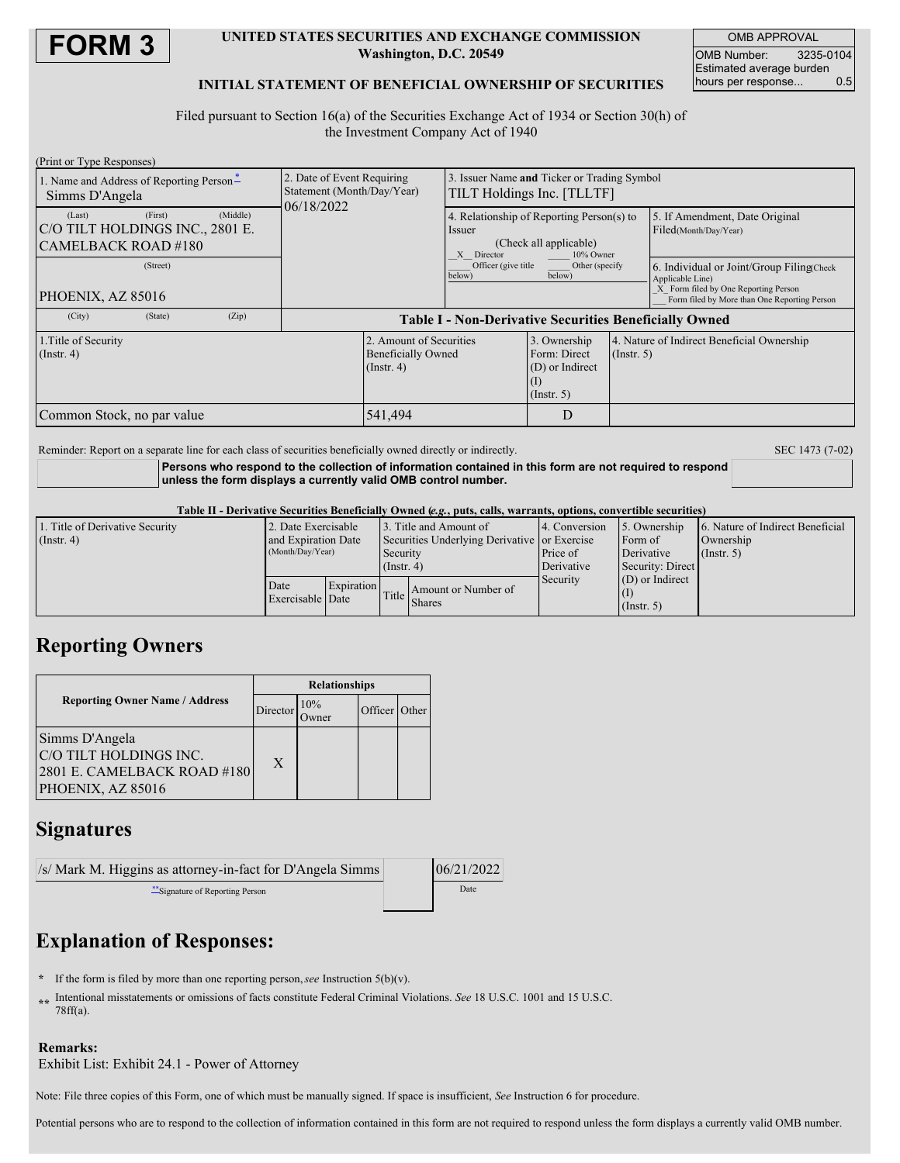

### **UNITED STATES SECURITIES AND EXCHANGE COMMISSION Washington, D.C. 20549**

OMB APPROVAL OMB Number: 3235-0104 Estimated average burden<br>hours per response... 0.5 hours per response...

### **INITIAL STATEMENT OF BENEFICIAL OWNERSHIP OF SECURITIES**

Filed pursuant to Section 16(a) of the Securities Exchange Act of 1934 or Section 30(h) of the Investment Company Act of 1940

| (Print or Type Responses)                                                                                            |                                                               |                                                                                                                                                       |                                                                     |                  |                                                                                      |  |
|----------------------------------------------------------------------------------------------------------------------|---------------------------------------------------------------|-------------------------------------------------------------------------------------------------------------------------------------------------------|---------------------------------------------------------------------|------------------|--------------------------------------------------------------------------------------|--|
| 1. Name and Address of Reporting Person-                                                                             | 2. Date of Event Requiring                                    | Issuer Name and Ticker or Trading Symbol                                                                                                              |                                                                     |                  |                                                                                      |  |
| Simms D'Angela                                                                                                       | Statement (Month/Day/Year)<br>06/18/2022                      | TILT Holdings Inc. [TLLTF]                                                                                                                            |                                                                     |                  |                                                                                      |  |
| (First)<br>(Middle)<br>(Last)                                                                                        |                                                               | 4. Relationship of Reporting Person(s) to<br>Issuer<br>(Check all applicable)<br>Director<br>10% Owner<br>X<br>Officer (give title<br>Other (specify) |                                                                     |                  | 5. If Amendment, Date Original<br>Filed(Month/Day/Year)                              |  |
| C/O TILT HOLDINGS INC., 2801 E.<br>CAMELBACK ROAD #180                                                               |                                                               |                                                                                                                                                       |                                                                     |                  |                                                                                      |  |
| (Street)                                                                                                             |                                                               |                                                                                                                                                       |                                                                     |                  |                                                                                      |  |
|                                                                                                                      |                                                               | below)                                                                                                                                                | below)                                                              |                  | 6. Individual or Joint/Group Filing Check<br>Applicable Line)                        |  |
| PHOENIX, AZ 85016                                                                                                    |                                                               |                                                                                                                                                       |                                                                     |                  | X Form filed by One Reporting Person<br>Form filed by More than One Reporting Person |  |
| (Zip)<br>(City)<br>(State)                                                                                           | <b>Table I - Non-Derivative Securities Beneficially Owned</b> |                                                                                                                                                       |                                                                     |                  |                                                                                      |  |
| 2. Amount of Securities<br>1. Title of Security<br><b>Beneficially Owned</b><br>$($ Instr. 4 $)$<br>$($ Instr. 4 $)$ |                                                               |                                                                                                                                                       | 3. Ownership<br>Form: Direct<br>(D) or Indirect<br>$($ Instr. 5 $)$ | $($ Instr. 5 $)$ | 4. Nature of Indirect Beneficial Ownership                                           |  |
| 541.494<br>Common Stock, no par value                                                                                |                                                               |                                                                                                                                                       | D                                                                   |                  |                                                                                      |  |

Reminder: Report on a separate line for each class of securities beneficially owned directly or indirectly. SEC 1473 (7-02)

**Persons who respond to the collection of information contained in this form are not required to respond unless the form displays a currently valid OMB control number.**

#### Table II - Derivative Securities Beneficially Owned (e.g., puts, calls, warrants, options, convertible securities)

| 1. Title of Derivative Security | 2. Date Exercisable                           |  |                                                          | 13. Title and Amount of             | 4. Conversion | 5. Ownership      | 6. Nature of Indirect Beneficial |  |
|---------------------------------|-----------------------------------------------|--|----------------------------------------------------------|-------------------------------------|---------------|-------------------|----------------------------------|--|
| $($ Instr. 4 $)$                | and Expiration Date<br>(Month/Day/Year)       |  | Securities Underlying Derivative or Exercise<br>Security |                                     |               | Form of           | Ownership                        |  |
|                                 |                                               |  |                                                          |                                     | Price of      | Derivative        | $($ Instr. 5)                    |  |
|                                 |                                               |  | $($ Instr. 4 $)$                                         |                                     | Derivative    | Security: Direct  |                                  |  |
|                                 | <b>Expiration</b><br>Date<br>Exercisable Date |  |                                                          |                                     | Security      | $(D)$ or Indirect |                                  |  |
|                                 |                                               |  |                                                          | Amount or Number of<br>Title Shares |               |                   |                                  |  |
|                                 |                                               |  |                                                          |                                     |               | $($ Instr. 5 $)$  |                                  |  |

## **Reporting Owners**

|                                                                                              | <b>Relationships</b> |     |               |  |  |
|----------------------------------------------------------------------------------------------|----------------------|-----|---------------|--|--|
| <b>Reporting Owner Name / Address</b>                                                        | Director             | 10% | Officer Other |  |  |
| Simms D'Angela<br>C/O TILT HOLDINGS INC.<br>2801 E. CAMELBACK ROAD #180<br>PHOENIX, AZ 85016 | X                    |     |               |  |  |

## **Signatures**

| /s/ Mark M. Higgins as attorney-in-fact for D'Angela Simms | 06/21/2022 |
|------------------------------------------------------------|------------|
| "Signature of Reporting Person                             | Date       |

# **Explanation of Responses:**

- **\*** If the form is filed by more than one reporting person,*see* Instruction 5(b)(v).
- **\*\*** Intentional misstatements or omissions of facts constitute Federal Criminal Violations. *See* 18 U.S.C. 1001 and 15 U.S.C. 78ff(a).

### **Remarks:**

Exhibit List: Exhibit 24.1 - Power of Attorney

Note: File three copies of this Form, one of which must be manually signed. If space is insufficient, *See* Instruction 6 for procedure.

Potential persons who are to respond to the collection of information contained in this form are not required to respond unless the form displays a currently valid OMB number.